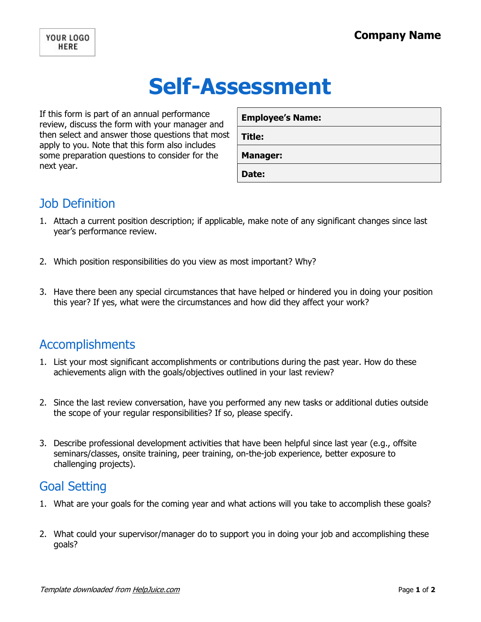# Self-Assessment

If this form is part of an annual performance review, discuss the form with your manager and then select and answer those questions that most apply to you. Note that this form also includes some preparation questions to consider for the next year.

| <b>Employee's Name:</b> |
|-------------------------|
| Title:                  |
| <b>Manager:</b>         |
| Date:                   |

## Job Definition

- 1. Attach a current position description; if applicable, make note of any significant changes since last year's performance review.
- 2. Which position responsibilities do you view as most important? Why?
- 3. Have there been any special circumstances that have helped or hindered you in doing your position this year? If yes, what were the circumstances and how did they affect your work?

#### Accomplishments

- 1. List your most significant accomplishments or contributions during the past year. How do these achievements align with the goals/objectives outlined in your last review?
- 2. Since the last review conversation, have you performed any new tasks or additional duties outside the scope of your regular responsibilities? If so, please specify.
- 3. Describe professional development activities that have been helpful since last year (e.g., offsite seminars/classes, onsite training, peer training, on-the-job experience, better exposure to challenging projects).

### Goal Setting

- 1. What are your goals for the coming year and what actions will you take to accomplish these goals?
- 2. What could your supervisor/manager do to support you in doing your job and accomplishing these goals?